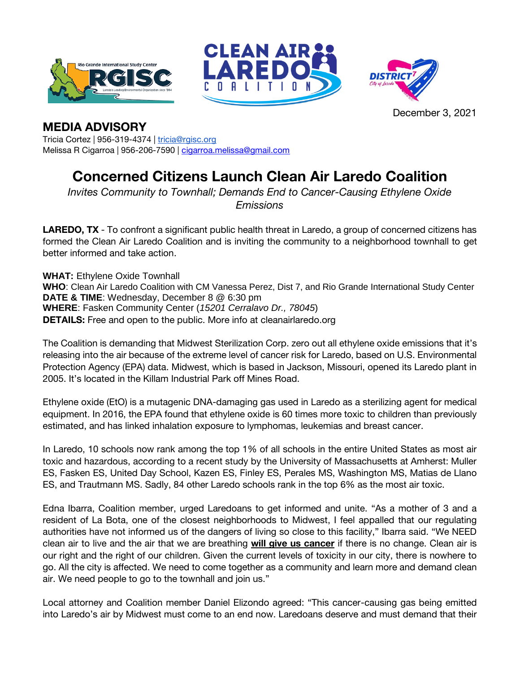





December 3, 2021

## **MEDIA ADVISORY**

Tricia Cortez | 956-319-4374 | [tricia@rgisc.org](mailto:tricia@rgisc.org) Melissa R Cigarroa | 956-206-7590 | [cigarroa.melissa@gmail.com](mailto:cigarroa.melissa@gmail.com)

## **Concerned Citizens Launch Clean Air Laredo Coalition**

*Invites Community to Townhall; Demands End to Cancer-Causing Ethylene Oxide Emissions*

**LAREDO, TX** - To confront a significant public health threat in Laredo, a group of concerned citizens has formed the Clean Air Laredo Coalition and is inviting the community to a neighborhood townhall to get better informed and take action.

**WHAT: Ethylene Oxide Townhall WHO**: Clean Air Laredo Coalition with CM Vanessa Perez, Dist 7, and Rio Grande International Study Center **DATE & TIME**: Wednesday, December 8 @ 6:30 pm **WHERE**: Fasken Community Center (*15201 Cerralavo Dr., 78045*) **DETAILS:** Free and open to the public. More info at cleanairlaredo.org

The Coalition is demanding that Midwest Sterilization Corp. zero out all ethylene oxide emissions that it's releasing into the air because of the extreme level of cancer risk for Laredo, based on U.S. Environmental Protection Agency (EPA) data. Midwest, which is based in Jackson, Missouri, opened its Laredo plant in 2005. It's located in the Killam Industrial Park off Mines Road.

Ethylene oxide (EtO) is a mutagenic DNA-damaging gas used in Laredo as a sterilizing agent for medical equipment. In 2016, the EPA found that ethylene oxide is 60 times more toxic to children than previously estimated, and has linked inhalation exposure to lymphomas, leukemias and breast cancer.

In Laredo, 10 schools now rank among the top 1% of all schools in the entire United States as most air toxic and hazardous, according to a recent study by the University of Massachusetts at Amherst: Muller ES, Fasken ES, United Day School, Kazen ES, Finley ES, Perales MS, Washington MS, Matias de Llano ES, and Trautmann MS. Sadly, 84 other Laredo schools rank in the top 6% as the most air toxic.

Edna Ibarra, Coalition member, urged Laredoans to get informed and unite. "As a mother of 3 and a resident of La Bota, one of the closest neighborhoods to Midwest, I feel appalled that our regulating authorities have not informed us of the dangers of living so close to this facility," Ibarra said. "We NEED clean air to live and the air that we are breathing **will give us cancer** if there is no change. Clean air is our right and the right of our children. Given the current levels of toxicity in our city, there is nowhere to go. All the city is affected. We need to come together as a community and learn more and demand clean air. We need people to go to the townhall and join us."

Local attorney and Coalition member Daniel Elizondo agreed: "This cancer-causing gas being emitted into Laredo's air by Midwest must come to an end now. Laredoans deserve and must demand that their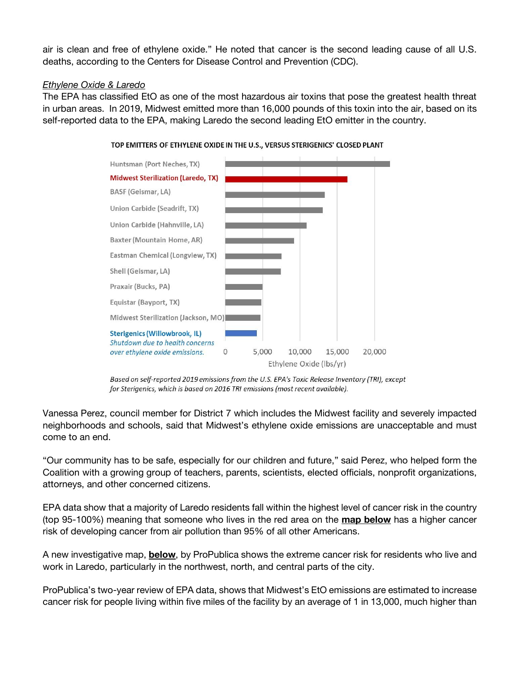air is clean and free of ethylene oxide." He noted that cancer is the second leading cause of all U.S. deaths, according to the Centers for Disease Control and Prevention (CDC).

## *Ethylene Oxide & Laredo*

The EPA has classified EtO as one of the most hazardous air toxins that pose the greatest health threat in urban areas. In 2019, Midwest emitted more than 16,000 pounds of this toxin into the air, based on its self-reported data to the EPA, making Laredo the second leading EtO emitter in the country.



TOP EMITTERS OF ETHYLENE OXIDE IN THE U.S., VERSUS STERIGENICS' CLOSED PLANT

Based on self-reported 2019 emissions from the U.S. EPA's Toxic Release Inventory (TRI), except for Sterigenics, which is based on 2016 TRI emissions (most recent available).

Vanessa Perez, council member for District 7 which includes the Midwest facility and severely impacted neighborhoods and schools, said that Midwest's ethylene oxide emissions are unacceptable and must come to an end.

"Our community has to be safe, especially for our children and future," said Perez, who helped form the Coalition with a growing group of teachers, parents, scientists, elected officials, nonprofit organizations, attorneys, and other concerned citizens.

EPA data show that a majority of Laredo residents fall within the highest level of cancer risk in the country (top 95-100%) meaning that someone who lives in the red area on the **map below** has a higher cancer risk of developing cancer from air pollution than 95% of all other Americans.

A new investigative map, **below**, by ProPublica shows the extreme cancer risk for residents who live and work in Laredo, particularly in the northwest, north, and central parts of the city.

ProPublica's two-year review of EPA data, shows that Midwest's EtO emissions are estimated to increase cancer risk for people living within five miles of the facility by an average of 1 in 13,000, much higher than